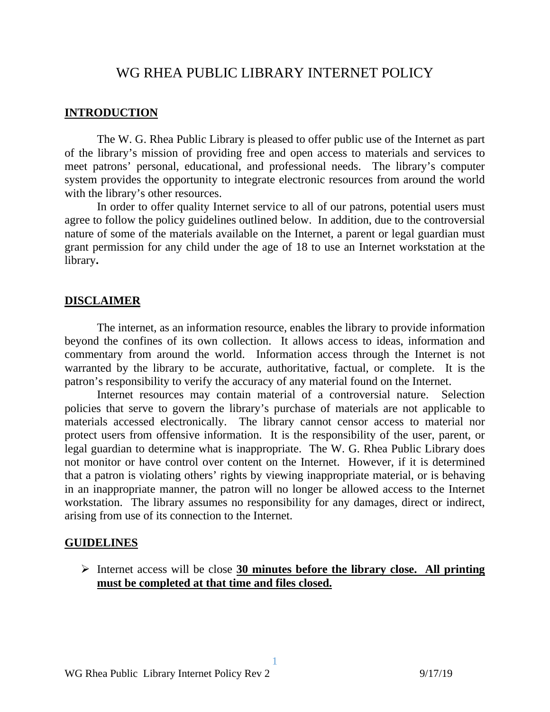# WG RHEA PUBLIC LIBRARY INTERNET POLICY

#### **INTRODUCTION**

 The W. G. Rhea Public Library is pleased to offer public use of the Internet as part of the library's mission of providing free and open access to materials and services to meet patrons' personal, educational, and professional needs. The library's computer system provides the opportunity to integrate electronic resources from around the world with the library's other resources.

 In order to offer quality Internet service to all of our patrons, potential users must agree to follow the policy guidelines outlined below. In addition, due to the controversial nature of some of the materials available on the Internet, a parent or legal guardian must grant permission for any child under the age of 18 to use an Internet workstation at the library**.** 

### **DISCLAIMER**

The internet, as an information resource, enables the library to provide information beyond the confines of its own collection. It allows access to ideas, information and commentary from around the world. Information access through the Internet is not warranted by the library to be accurate, authoritative, factual, or complete. It is the patron's responsibility to verify the accuracy of any material found on the Internet.

 Internet resources may contain material of a controversial nature. Selection policies that serve to govern the library's purchase of materials are not applicable to materials accessed electronically. The library cannot censor access to material nor protect users from offensive information. It is the responsibility of the user, parent, or legal guardian to determine what is inappropriate. The W. G. Rhea Public Library does not monitor or have control over content on the Internet. However, if it is determined that a patron is violating others' rights by viewing inappropriate material, or is behaving in an inappropriate manner, the patron will no longer be allowed access to the Internet workstation. The library assumes no responsibility for any damages, direct or indirect, arising from use of its connection to the Internet.

#### **GUIDELINES**

 Internet access will be close **30 minutes before the library close. All printing must be completed at that time and files closed.** 

1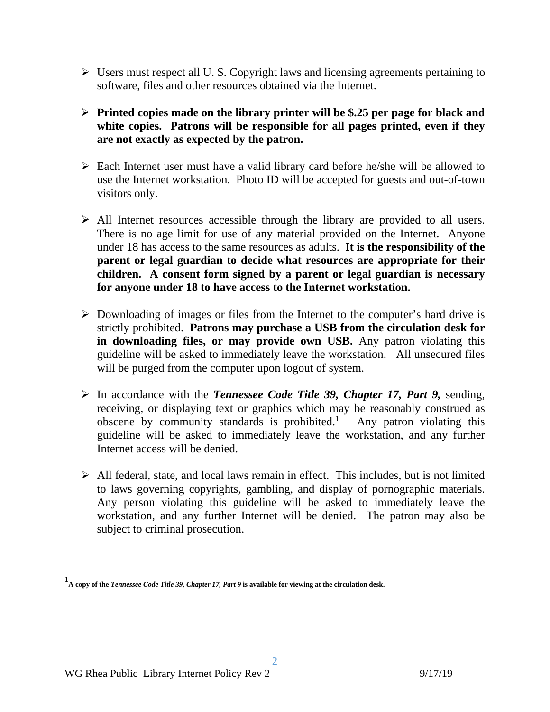- Users must respect all U. S. Copyright laws and licensing agreements pertaining to software, files and other resources obtained via the Internet.
- **Printed copies made on the library printer will be \$.25 per page for black and white copies. Patrons will be responsible for all pages printed, even if they are not exactly as expected by the patron.**
- Each Internet user must have a valid library card before he/she will be allowed to use the Internet workstation. Photo ID will be accepted for guests and out-of-town visitors only.
- $\triangleright$  All Internet resources accessible through the library are provided to all users. There is no age limit for use of any material provided on the Internet. Anyone under 18 has access to the same resources as adults. **It is the responsibility of the parent or legal guardian to decide what resources are appropriate for their children. A consent form signed by a parent or legal guardian is necessary for anyone under 18 to have access to the Internet workstation.**
- $\triangleright$  Downloading of images or files from the Internet to the computer's hard drive is strictly prohibited. **Patrons may purchase a USB from the circulation desk for in downloading files, or may provide own USB.** Any patron violating this guideline will be asked to immediately leave the workstation. All unsecured files will be purged from the computer upon logout of system.
- In accordance with the *Tennessee Code Title 39, Chapter 17, Part 9,* sending, receiving, or displaying text or graphics which may be reasonably construed as obscene by community standards is prohibited.1 Any patron violating this guideline will be asked to immediately leave the workstation, and any further Internet access will be denied.
- $\triangleright$  All federal, state, and local laws remain in effect. This includes, but is not limited to laws governing copyrights, gambling, and display of pornographic materials. Any person violating this guideline will be asked to immediately leave the workstation, and any further Internet will be denied. The patron may also be subject to criminal prosecution.

**<sup>1</sup> A copy of the** *Tennessee Code Title 39, Chapter 17, Part 9* **is available for viewing at the circulation desk.**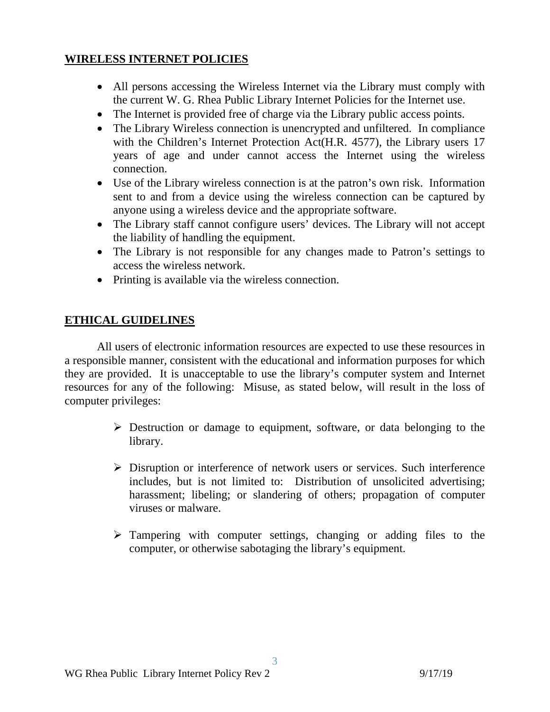### **WIRELESS INTERNET POLICIES**

- All persons accessing the Wireless Internet via the Library must comply with the current W. G. Rhea Public Library Internet Policies for the Internet use.
- The Internet is provided free of charge via the Library public access points.
- The Library Wireless connection is unencrypted and unfiltered. In compliance with the Children's Internet Protection Act(H.R. 4577), the Library users 17 years of age and under cannot access the Internet using the wireless connection.
- Use of the Library wireless connection is at the patron's own risk. Information sent to and from a device using the wireless connection can be captured by anyone using a wireless device and the appropriate software.
- The Library staff cannot configure users' devices. The Library will not accept the liability of handling the equipment.
- The Library is not responsible for any changes made to Patron's settings to access the wireless network.
- Printing is available via the wireless connection.

## **ETHICAL GUIDELINES**

 All users of electronic information resources are expected to use these resources in a responsible manner, consistent with the educational and information purposes for which they are provided. It is unacceptable to use the library's computer system and Internet resources for any of the following: Misuse, as stated below, will result in the loss of computer privileges:

- $\triangleright$  Destruction or damage to equipment, software, or data belonging to the library.
- $\triangleright$  Disruption or interference of network users or services. Such interference includes, but is not limited to: Distribution of unsolicited advertising; harassment; libeling; or slandering of others; propagation of computer viruses or malware.
- $\triangleright$  Tampering with computer settings, changing or adding files to the computer, or otherwise sabotaging the library's equipment.